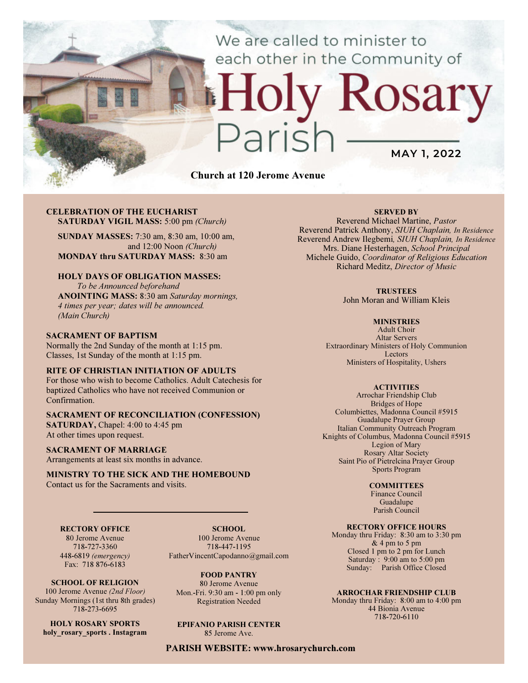## We are called to minister to each other in the Community of

# Church at 120 Jerome Avenue

CELEBRATION OF THE EUCHARIST SATURDAY VIGIL MASS: 5:00 pm (Church)

SUNDAY MASSES: 7:30 am, 8:30 am, 10:00 am, and 12:00 Noon (Church) MONDAY thru SATURDAY MASS: 8:30 am

### HOLY DAYS OF OBLIGATION MASSES:

To be Announced beforehand ANOINTING MASS: 8:30 am Saturday mornings, 4 times per year; dates will be announced. (Main Church)

#### SACRAMENT OF BAPTISM

Normally the 2nd Sunday of the month at 1:15 pm. Classes, 1st Sunday of the month at 1:15 pm.

#### RITE OF CHRISTIAN INITIATION OF ADULTS

For those who wish to become Catholics. Adult Catechesis for baptized Catholics who have not received Communion or Confirmation.

## SACRAMENT OF RECONCILIATION (CONFESSION)

SATURDAY, Chapel: 4:00 to 4:45 pm At other times upon request.

#### SACRAMENT OF MARRIAGE

Arrangements at least six months in advance.

#### MINISTRY TO THE SICK AND THE HOMEBOUND Contact us for the Sacraments and visits.

## RECTORY OFFICE

80 Jerome Avenue 718-727-3360 448-6819 (emergency) Fax: 718 876-6183

SCHOOL OF RELIGION 100 Jerome Avenue (2nd Floor) Sunday Mornings (1st thru 8th grades) 718-273-6695

HOLY ROSARY SPORTS holy rosary sports . Instagram

SCHOOL. 100 Jerome Avenue 718-447-1195 FatherVincentCapodanno@gmail.com

FOOD PANTRY 80 Jerome Avenue Mon.-Fri. 9:30 am - 1:00 pm only Registration Needed

EPIFANIO PARISH CENTER 85 Jerome Ave.

PARISH WEBSITE: www.hrosarychurch.com

#### SERVED BY

MAY 1, 2022

Rosary

Reverend Michael Martine, Pastor Reverend Patrick Anthony, SIUH Chaplain, In Residence Reverend Andrew Ilegbemi, SIUH Chaplain, In Residence Mrs. Diane Hesterhagen, School Principal Michele Guido, Coordinator of Religious Education Richard Meditz, Director of Music

#### **TRUSTEES**

John Moran and William Kleis

#### **MINISTRIES**

Adult Choir Altar Servers Extraordinary Ministers of Holy Communion Lectors Ministers of Hospitality, Ushers

#### **ACTIVITIES**

Arrochar Friendship Club Bridges of Hope Columbiettes, Madonna Council #5915 Guadalupe Prayer Group Italian Community Outreach Program Knights of Columbus, Madonna Council #5915 Legion of Mary Rosary Altar Society Saint Pio of Pietrelcina Prayer Group Sports Program

#### **COMMITTEES**

Finance Council Guadalupe Parish Council

#### RECTORY OFFICE HOURS

Monday thru Friday: 8:30 am to 3:30 pm & 4 pm to 5 pm Closed 1 pm to 2 pm for Lunch Saturday:  $9:00 \text{ am to } 5:00 \text{ pm}$ Sunday: Parish Office Closed

#### ARROCHAR FRIENDSHIP CLUB

Monday thru Friday: 8:00 am to 4:00 pm 44 Bionia Avenue 718-720-6110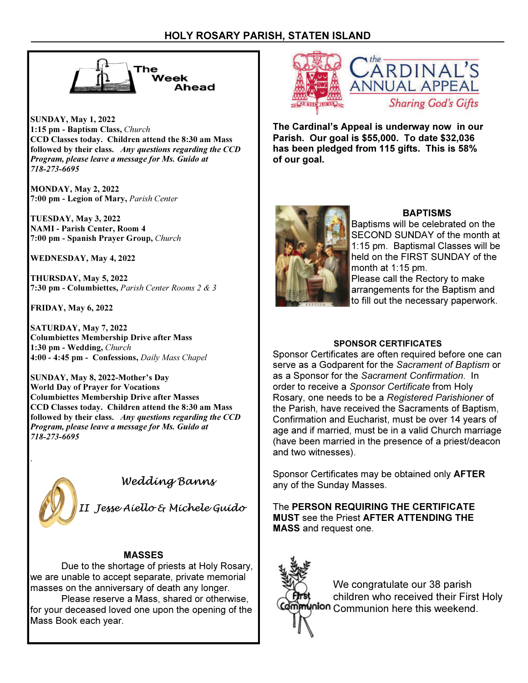

SUNDAY, May 1, 2022 1:15 pm - Baptism Class, Church CCD Classes today. Children attend the 8:30 am Mass followed by their class. Any questions regarding the CCD Program, please leave a message for Ms. Guido at 718-273-6695

MONDAY, May 2, 2022 7:00 pm - Legion of Mary, Parish Center

TUESDAY, May 3, 2022 NAMI - Parish Center, Room 4 7:00 pm - Spanish Prayer Group, Church

WEDNESDAY, May 4, 2022

THURSDAY, May 5, 2022 7:30 pm - Columbiettes, Parish Center Rooms 2 & 3

FRIDAY, May 6, 2022

SATURDAY, May 7, 2022 Columbiettes Membership Drive after Mass 1:30 pm - Wedding, Church 4:00 - 4:45 pm - Confessions, Daily Mass Chapel

SUNDAY, May 8, 2022-Mother's Day World Day of Prayer for Vocations Columbiettes Membership Drive after Masses CCD Classes today. Children attend the 8:30 am Mass followed by their class. Any questions regarding the CCD Program, please leave a message for Ms. Guido at 718-273-6695



.

Wedding Banns

II Jesse Aiello & Michele Guido

## MASSES

 Due to the shortage of priests at Holy Rosary, we are unable to accept separate, private memorial masses on the anniversary of death any longer.

 Please reserve a Mass, shared or otherwise, for your deceased loved one upon the opening of the Mass Book each year.



The Cardinal's Appeal is underway now in our Parish. Our goal is \$55,000. To date \$32,036 has been pledged from 115 gifts. This is 58% of our goal.



## BAPTISMS

Baptisms will be celebrated on the SECOND SUNDAY of the month at 1:15 pm. Baptismal Classes will be held on the FIRST SUNDAY of the month at 1:15 pm. Please call the Rectory to make arrangements for the Baptism and to fill out the necessary paperwork.

## SPONSOR CERTIFICATES

Sponsor Certificates are often required before one can serve as a Godparent for the Sacrament of Baptism or as a Sponsor for the Sacrament Confirmation. In order to receive a Sponsor Certificate from Holy Rosary, one needs to be a Registered Parishioner of the Parish, have received the Sacraments of Baptism, Confirmation and Eucharist, must be over 14 years of age and if married, must be in a valid Church marriage (have been married in the presence of a priest/deacon and two witnesses).

Sponsor Certificates may be obtained only AFTER any of the Sunday Masses.

The PERSON REQUIRING THE CERTIFICATE MUST see the Priest AFTER ATTENDING THE MASS and request one.



We congratulate our 38 parish children who received their First Holy **Nnion** Communion here this weekend.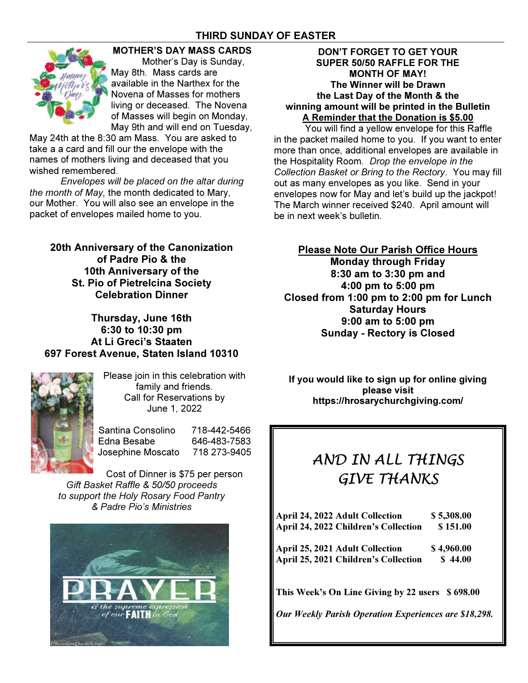## THIRD SUNDAY OF EASTER



## MOTHER'S DAY MASS CARDS

 Mother's Day is Sunday, May 8th. Mass cards are available in the Narthex for the Novena of Masses for mothers living or deceased. The Novena of Masses will begin on Monday, May 9th and will end on Tuesday,

May 24th at the 8:30 am Mass. You are asked to take a a card and fill our the envelope with the names of mothers living and deceased that you wished remembered.

Envelopes will be placed on the altar during the month of May, the month dedicated to Mary, our Mother. You will also see an envelope in the packet of envelopes mailed home to you.

20th Anniversary of the Canonization of Padre Pio & the 10th Anniversary of the St. Pio of Pietrelcina Society Celebration Dinner

Thursday, June 16th 6:30 to 10:30 pm At Li Greci's Staaten 697 Forest Avenue, Staten Island 10310



Please join in this celebration with family and friends. Call for Reservations by June 1, 2022

Santina Consolino 718-442-5466 Edna Besabe 646-483-7583 Josephine Moscato 718 273-9405

Cost of Dinner is \$75 per person Gift Basket Raffle & 50/50 proceeds to support the Holy Rosary Food Pantry & Padre Pio's Ministries



## DON'T FORGET TO GET YOUR SUPER 50/50 RAFFLE FOR THE MONTH OF MAY! The Winner will be Drawn the Last Day of the Month & the winning amount will be printed in the Bulletin A Reminder that the Donation is \$5.00

You will find a yellow envelope for this Raffle in the packet mailed home to you. If you want to enter more than once, additional envelopes are available in the Hospitality Room. Drop the envelope in the Collection Basket or Bring to the Rectory. You may fill out as many envelopes as you like. Send in your envelopes now for May and let's build up the jackpot! The March winner received \$240. April amount will be in next week's bulletin.

## Please Note Our Parish Office Hours Monday through Friday 8:30 am to 3:30 pm and 4:00 pm to 5:00 pm Closed from 1:00 pm to 2:00 pm for Lunch Saturday Hours

9:00 am to 5:00 pm Sunday - Rectory is Closed

If you would like to sign up for online giving please visit https://hrosarychurchgiving.com/

# AND IN ALL THINGS GIVE THANKS

| <b>April 24, 2022 Adult Collection</b>      | \$5,308.00 |
|---------------------------------------------|------------|
| <b>April 24, 2022 Children's Collection</b> | \$151.00   |
| <b>April 25, 2021 Adult Collection</b>      | \$4,960.00 |
| <b>April 25, 2021 Children's Collection</b> | \$44.00    |
|                                             |            |

This Week's On Line Giving by 22 users \$ 698.00

Our Weekly Parish Operation Experiences are \$18,298.